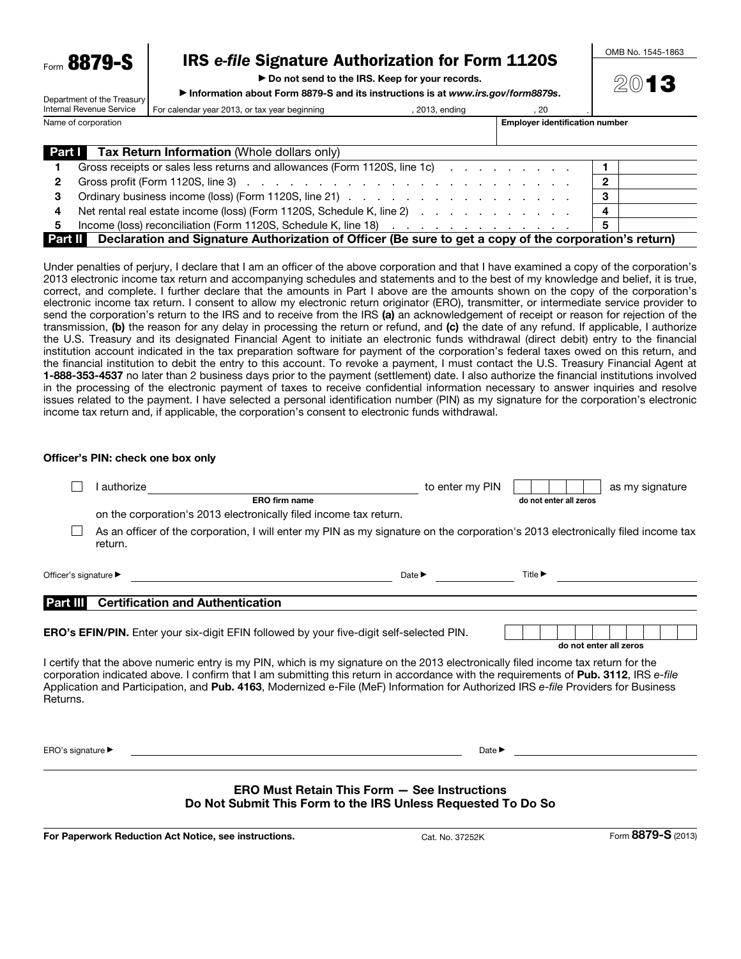$F_{\text{form}}$  8879-

Department of the Treasury

# IRS *e-file* Signature Authorization for Form 1120S

▶ Do not send to the IRS. Keep for your records.

▶ Information about Form 8879-S and its instructions is at *www.irs.gov/form8879s*.

OMB No. 1545-1863

2013

| Internal Revenue Service |  | For calendar year 2013, or tax year beginning                                                                         | , 2013, ending |                                       | -20 |   |  |
|--------------------------|--|-----------------------------------------------------------------------------------------------------------------------|----------------|---------------------------------------|-----|---|--|
| Name of corporation      |  |                                                                                                                       |                | <b>Employer identification number</b> |     |   |  |
|                          |  |                                                                                                                       |                |                                       |     |   |  |
|                          |  | <b>Part I</b> Tax Return Information (Whole dollars only)                                                             |                |                                       |     |   |  |
|                          |  | Gross receipts or sales less returns and allowances (Form 1120S, line 1c) example and solution of the state of        |                |                                       |     |   |  |
| 2                        |  |                                                                                                                       |                |                                       |     | 2 |  |
| З                        |  |                                                                                                                       |                |                                       |     | 3 |  |
| 4                        |  | Net rental real estate income (loss) (Form 1120S, Schedule K, line 2) (all contact and contact and contact and        |                |                                       |     |   |  |
| 5                        |  |                                                                                                                       |                |                                       |     | 5 |  |
|                          |  | <b>Part II</b> Declaration and Signature Authorization of Officer (Be sure to get a copy of the corporation's return) |                |                                       |     |   |  |

Under penalties of perjury, I declare that I am an officer of the above corporation and that I have examined a copy of the corporation's 2013 electronic income tax return and accompanying schedules and statements and to the best of my knowledge and belief, it is true, correct, and complete. I further declare that the amounts in Part I above are the amounts shown on the copy of the corporation's electronic income tax return. I consent to allow my electronic return originator (ERO), transmitter, or intermediate service provider to send the corporation's return to the IRS and to receive from the IRS (a) an acknowledgement of receipt or reason for rejection of the transmission, (b) the reason for any delay in processing the return or refund, and (c) the date of any refund. If applicable, I authorize the U.S. Treasury and its designated Financial Agent to initiate an electronic funds withdrawal (direct debit) entry to the financial institution account indicated in the tax preparation software for payment of the corporation's federal taxes owed on this return, and the financial institution to debit the entry to this account. To revoke a payment, I must contact the U.S. Treasury Financial Agent at 1-888-353-4537 no later than 2 business days prior to the payment (settlement) date. I also authorize the financial institutions involved in the processing of the electronic payment of taxes to receive confidential information necessary to answer inquiries and resolve issues related to the payment. I have selected a personal identification number (PIN) as my signature for the corporation's electronic income tax return and, if applicable, the corporation's consent to electronic funds withdrawal.

#### Officer's PIN: check one box only

|                                                                                                                                                                                                                                                                                                                                                                                                                              | I authorize                                                                                                                                | to enter my PIN            | as my signature                      |  |  |  |  |  |  |
|------------------------------------------------------------------------------------------------------------------------------------------------------------------------------------------------------------------------------------------------------------------------------------------------------------------------------------------------------------------------------------------------------------------------------|--------------------------------------------------------------------------------------------------------------------------------------------|----------------------------|--------------------------------------|--|--|--|--|--|--|
|                                                                                                                                                                                                                                                                                                                                                                                                                              | ERO firm name                                                                                                                              |                            | do not enter all zeros               |  |  |  |  |  |  |
|                                                                                                                                                                                                                                                                                                                                                                                                                              | on the corporation's 2013 electronically filed income tax return.                                                                          |                            |                                      |  |  |  |  |  |  |
|                                                                                                                                                                                                                                                                                                                                                                                                                              | As an officer of the corporation, I will enter my PIN as my signature on the corporation's 2013 electronically filed income tax<br>return. |                            |                                      |  |  |  |  |  |  |
| Officer's signature ▶                                                                                                                                                                                                                                                                                                                                                                                                        | <u> 1989 - Johann Barn, mars eta bainar eta bat erroman erroman erroman erroman erroman erroman erroman erroman e</u>                      | Date $\blacktriangleright$ | Title > <u>_____________________</u> |  |  |  |  |  |  |
| Part III                                                                                                                                                                                                                                                                                                                                                                                                                     | <b>Certification and Authentication</b>                                                                                                    |                            |                                      |  |  |  |  |  |  |
|                                                                                                                                                                                                                                                                                                                                                                                                                              | <b>ERO's EFIN/PIN.</b> Enter your six-digit EFIN followed by your five-digit self-selected PIN.                                            |                            | do not enter all zeros               |  |  |  |  |  |  |
| I certify that the above numeric entry is my PIN, which is my signature on the 2013 electronically filed income tax return for the<br>corporation indicated above. I confirm that I am submitting this return in accordance with the requirements of Pub. 3112, IRS e-file<br>Application and Participation, and Pub. 4163, Modernized e-File (MeF) Information for Authorized IRS e-file Providers for Business<br>Returns. |                                                                                                                                            |                            |                                      |  |  |  |  |  |  |
| ERO's signature $\blacktriangleright$                                                                                                                                                                                                                                                                                                                                                                                        |                                                                                                                                            | Date $\blacktriangleright$ |                                      |  |  |  |  |  |  |
| <b>ERO Must Retain This Form - See Instructions</b><br>Do Not Submit This Form to the IRS Unless Requested To Do So                                                                                                                                                                                                                                                                                                          |                                                                                                                                            |                            |                                      |  |  |  |  |  |  |

For Paperwork Reduction Act Notice, see instructions. The Cat. No. 37252K Form 8879-S (2013)